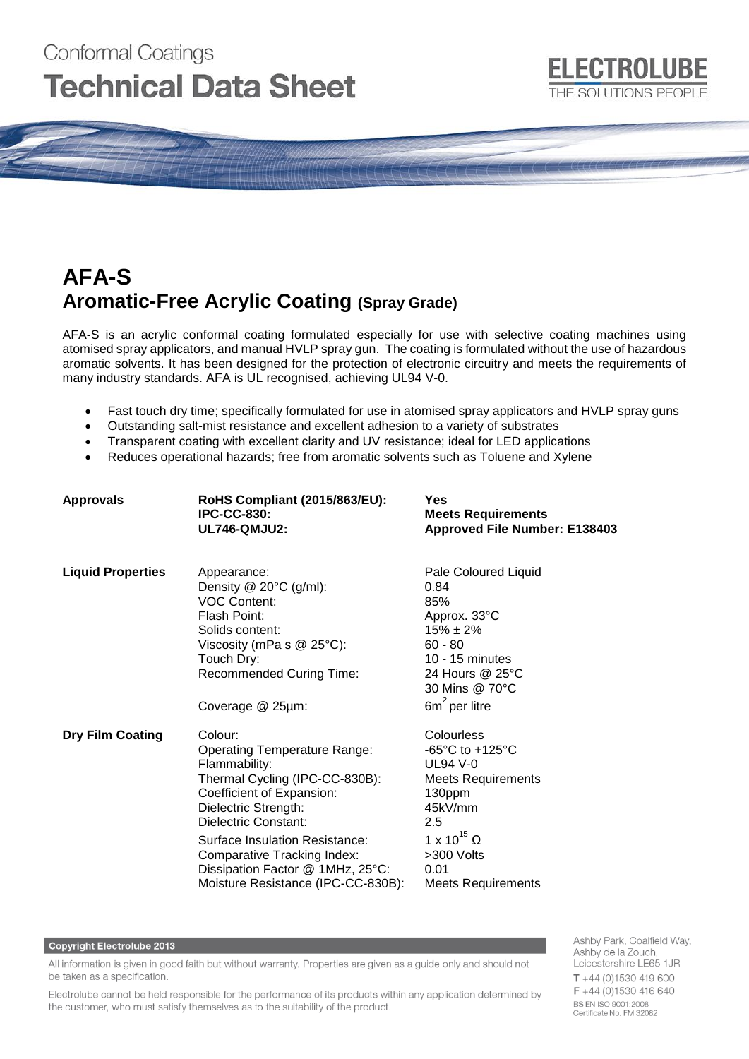# Conformal Coatings **Technical Data Sheet**

# **AFA-S Aromatic-Free Acrylic Coating (Spray Grade)**

AFA-S is an acrylic conformal coating formulated especially for use with selective coating machines using atomised spray applicators, and manual HVLP spray gun. The coating is formulated without the use of hazardous aromatic solvents. It has been designed for the protection of electronic circuitry and meets the requirements of many industry standards. AFA is UL recognised, achieving UL94 V-0.

- Fast touch dry time; specifically formulated for use in atomised spray applicators and HVLP spray guns
- Outstanding salt-mist resistance and excellent adhesion to a variety of substrates
- Transparent coating with excellent clarity and UV resistance; ideal for LED applications
- Reduces operational hazards; free from aromatic solvents such as Toluene and Xylene

| <b>Approvals</b>         | RoHS Compliant (2015/863/EU):<br><b>IPC-CC-830:</b><br><b>UL746-QMJU2:</b>                                                                                                                                                                                                                                                | Yes<br><b>Meets Requirements</b><br><b>Approved File Number: E138403</b>                                                                                                                                              |
|--------------------------|---------------------------------------------------------------------------------------------------------------------------------------------------------------------------------------------------------------------------------------------------------------------------------------------------------------------------|-----------------------------------------------------------------------------------------------------------------------------------------------------------------------------------------------------------------------|
| <b>Liquid Properties</b> | Appearance:<br>Density $@$ 20 $°C$ (g/ml):<br><b>VOC Content:</b><br>Flash Point:<br>Solids content:<br>Viscosity (mPa s $@$ 25°C):<br>Touch Dry:<br><b>Recommended Curing Time:</b><br>Coverage @ 25µm:                                                                                                                  | Pale Coloured Liquid<br>0.84<br>85%<br>Approx. 33°C<br>$15\% \pm 2\%$<br>$60 - 80$<br>10 - 15 minutes<br>24 Hours @ 25°C<br>30 Mins @ 70°C<br>$6m^2$ per litre                                                        |
| <b>Dry Film Coating</b>  | Colour:<br><b>Operating Temperature Range:</b><br>Flammability:<br>Thermal Cycling (IPC-CC-830B):<br>Coefficient of Expansion:<br>Dielectric Strength:<br>Dielectric Constant:<br>Surface Insulation Resistance:<br>Comparative Tracking Index:<br>Dissipation Factor @ 1MHz, 25°C:<br>Moisture Resistance (IPC-CC-830B): | Colourless<br>-65 $\mathrm{^{\circ}C}$ to +125 $\mathrm{^{\circ}C}$<br><b>UL94 V-0</b><br>Meets Requirements<br>130ppm<br>45kV/mm<br>2.5<br>1 x 10 <sup>15</sup> Ω<br>>300 Volts<br>0.01<br><b>Meets Requirements</b> |

#### **Copyright Electrolube 2013**

All information is given in good faith but without warranty. Properties are given as a guide only and should not be taken as a specification.

Electrolube cannot be held responsible for the performance of its products within any application determined by the customer, who must satisfy themselves as to the suitability of the product.

Ashby Park, Coalfield Way, Ashby de la Zouch, Leicestershire LE65 1JR  $T + 44(0)1530419600$ F +44 (0)1530 416 640 BS EN ISO 9001:2008 Certificate No. FM 32082

**ELECTROLUBE** 

THE SOLUTIONS PEOPLE